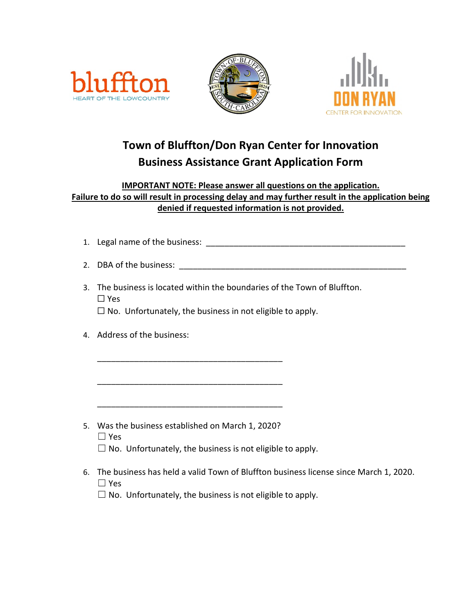





# **Town of Bluffton/Don Ryan Center for Innovation Business Assistance Grant Application Form**

#### **IMPORTANT NOTE: Please answer all questions on the application. Failure to do so will result in processing delay and may further result in the application being denied if requested information is not provided.**

- 1. Legal name of the business: \_\_\_\_\_\_\_\_\_\_\_\_\_\_\_\_\_\_\_\_\_\_\_\_\_\_\_\_\_\_\_\_\_\_\_\_\_\_\_\_\_\_\_
- 2. DBA of the business:  $\blacksquare$
- 3. The business is located within the boundaries of the Town of Bluffton. ☐ Yes

 $\Box$  No. Unfortunately, the business in not eligible to apply.

4. Address of the business:

5. Was the business established on March 1, 2020?

\_\_\_\_\_\_\_\_\_\_\_\_\_\_\_\_\_\_\_\_\_\_\_\_\_\_\_\_\_\_\_\_\_\_\_\_\_\_\_\_

\_\_\_\_\_\_\_\_\_\_\_\_\_\_\_\_\_\_\_\_\_\_\_\_\_\_\_\_\_\_\_\_\_\_\_\_\_\_\_\_

\_\_\_\_\_\_\_\_\_\_\_\_\_\_\_\_\_\_\_\_\_\_\_\_\_\_\_\_\_\_\_\_\_\_\_\_\_\_\_\_

- ☐ Yes
- $\Box$  No. Unfortunately, the business is not eligible to apply.
- 6. The business has held a valid Town of Bluffton business license since March 1, 2020. ☐ Yes
	- $\Box$  No. Unfortunately, the business is not eligible to apply.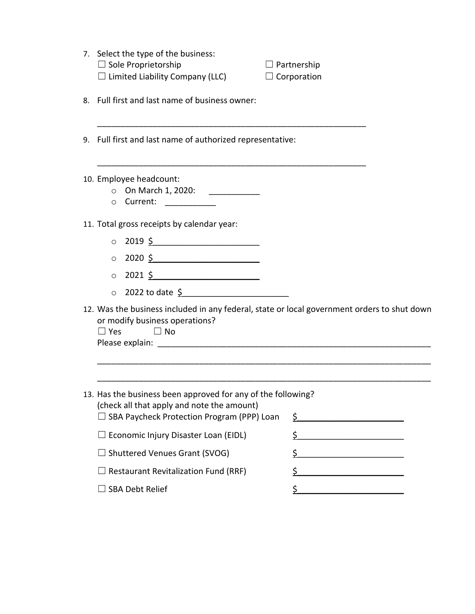| 7. Select the type of the business:<br>$\Box$ Sole Proprietorship<br>$\Box$ Limited Liability Company (LLC)                                                     | $\Box$ Partnership<br>$\Box$ Corporation |
|-----------------------------------------------------------------------------------------------------------------------------------------------------------------|------------------------------------------|
| Full first and last name of business owner:<br>8.                                                                                                               |                                          |
| 9. Full first and last name of authorized representative:                                                                                                       |                                          |
| 10. Employee headcount:<br>O On March 1, 2020: ____________<br>o Current: ___________                                                                           |                                          |
| 11. Total gross receipts by calendar year:                                                                                                                      |                                          |
| $\circ$ 2019 <u>\$</u>                                                                                                                                          |                                          |
| $\circ$ 2020 \$                                                                                                                                                 |                                          |
| $\circ$ 2021 \$                                                                                                                                                 |                                          |
| 0 2022 to date \$                                                                                                                                               |                                          |
| 12. Was the business included in any federal, state or local government orders to shut down<br>or modify business operations?<br>$\Box$ Yes<br>$\Box$ No        |                                          |
|                                                                                                                                                                 |                                          |
| 13. Has the business been approved for any of the following?<br>(check all that apply and note the amount)<br>$\Box$ SBA Paycheck Protection Program (PPP) Loan | \$                                       |
| $\Box$ Economic Injury Disaster Loan (EIDL)                                                                                                                     |                                          |
| □ Shuttered Venues Grant (SVOG)                                                                                                                                 | \$                                       |
| <b>Restaurant Revitalization Fund (RRF)</b>                                                                                                                     | \$                                       |
|                                                                                                                                                                 |                                          |
| <b>SBA Debt Relief</b>                                                                                                                                          | \$                                       |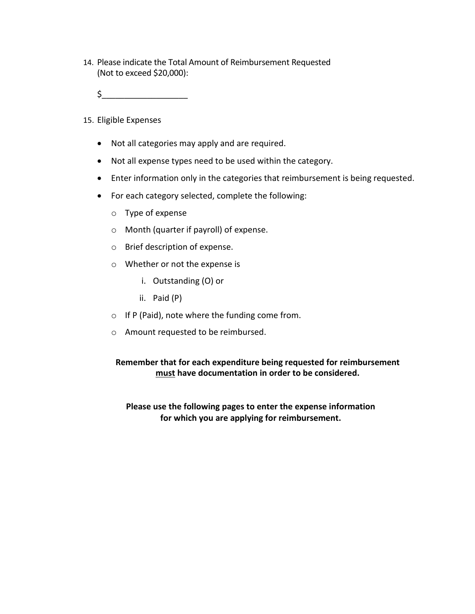- 14. Please indicate the Total Amount of Reimbursement Requested (Not to exceed \$20,000):
	- $\zeta$
- 15. Eligible Expenses
	- Not all categories may apply and are required.
	- Not all expense types need to be used within the category.
	- Enter information only in the categories that reimbursement is being requested.
	- For each category selected, complete the following:
		- o Type of expense
		- o Month (quarter if payroll) of expense.
		- o Brief description of expense.
		- o Whether or not the expense is
			- i. Outstanding (O) or
			- ii. Paid (P)
		- o If P (Paid), note where the funding come from.
		- o Amount requested to be reimbursed.

#### **Remember that for each expenditure being requested for reimbursement must have documentation in order to be considered.**

#### **Please use the following pages to enter the expense information for which you are applying for reimbursement.**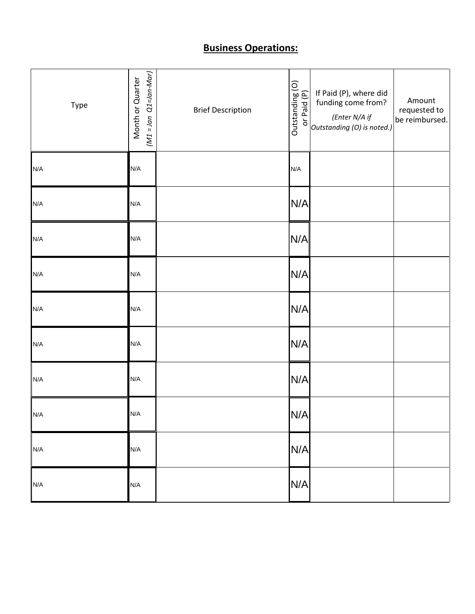### **Business Operations:**

| Type | $(M1 = Jan Q1 = Jan-Mar)$<br>Month or Quarter | <b>Brief Description</b> | Outstanding (O)<br>or Paid (P) | If Paid (P), where did<br>funding come from?<br>(Enter N/A if<br>Outstanding (O) is noted.) | Amount<br>requested to<br>be reimbursed. |
|------|-----------------------------------------------|--------------------------|--------------------------------|---------------------------------------------------------------------------------------------|------------------------------------------|
| N/A  | N/A                                           |                          | N/A                            |                                                                                             |                                          |
| N/A  | N/A                                           |                          | N/A                            |                                                                                             |                                          |
| N/A  | N/A                                           |                          | N/A                            |                                                                                             |                                          |
| N/A  | N/A                                           |                          | N/A                            |                                                                                             |                                          |
| N/A  | N/A                                           |                          | N/A                            |                                                                                             |                                          |
| N/A  | N/A                                           |                          | N/A                            |                                                                                             |                                          |
| N/A  | N/A                                           |                          | N/A                            |                                                                                             |                                          |
| N/A  | N/A                                           |                          | N/A                            |                                                                                             |                                          |
| N/A  | N/A                                           |                          | N/A                            |                                                                                             |                                          |
| N/A  | N/A                                           |                          | N/A                            |                                                                                             |                                          |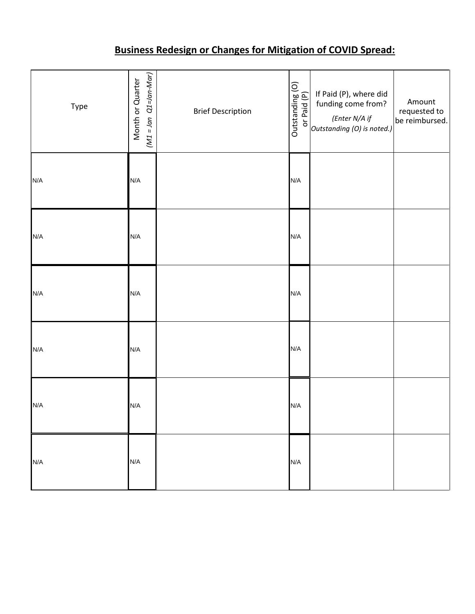## **Business Redesign or Changes for Mitigation of COVID Spread:**

| Type | $(M1 = Jan Q1 = Jan-Mar)$<br>Month or Quarter | <b>Brief Description</b> | Outstanding (O)<br>or Paid (P) | If Paid (P), where did<br>funding come from?<br>(Enter N/A if<br>Outstanding (O) is noted.) | Amount<br>requested to<br>be reimbursed. |
|------|-----------------------------------------------|--------------------------|--------------------------------|---------------------------------------------------------------------------------------------|------------------------------------------|
| N/A  | N/A                                           |                          | N/A                            |                                                                                             |                                          |
| N/A  | N/A                                           |                          | N/A                            |                                                                                             |                                          |
| N/A  | N/A                                           |                          | N/A                            |                                                                                             |                                          |
| N/A  | N/A                                           |                          | N/A                            |                                                                                             |                                          |
| N/A  | N/A                                           |                          | N/A                            |                                                                                             |                                          |
| N/A  | N/A                                           |                          | N/A                            |                                                                                             |                                          |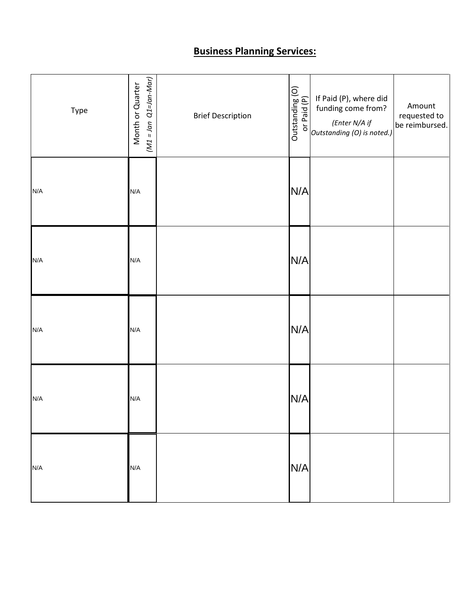### **Business Planning Services:**

| Type | $(M1 = Jan Q1=Jan-Mar)$<br>Month or Quarter | <b>Brief Description</b> |     | $\begin{array}{ c c }\n\hline\n\odot & \mbox{if Paid (P), where did}\n\hline\n\frac{\text{neg}}{\text{neg}} & \mbox{funding come from?}\n\hline\n\text{of the three-dimensional (Enter N/A if}\n\hline\n\text{outstanding (O) is noted.)}\n\hline\n\end{array}$ | Amount<br>requested to<br>be reimbursed. |
|------|---------------------------------------------|--------------------------|-----|-----------------------------------------------------------------------------------------------------------------------------------------------------------------------------------------------------------------------------------------------------------------|------------------------------------------|
| N/A  | N/A                                         |                          | N/A |                                                                                                                                                                                                                                                                 |                                          |
| N/A  | N/A                                         |                          | N/A |                                                                                                                                                                                                                                                                 |                                          |
| N/A  | N/A                                         |                          | N/A |                                                                                                                                                                                                                                                                 |                                          |
| N/A  | N/A                                         |                          | N/A |                                                                                                                                                                                                                                                                 |                                          |
| N/A  | N/A                                         |                          | N/A |                                                                                                                                                                                                                                                                 |                                          |